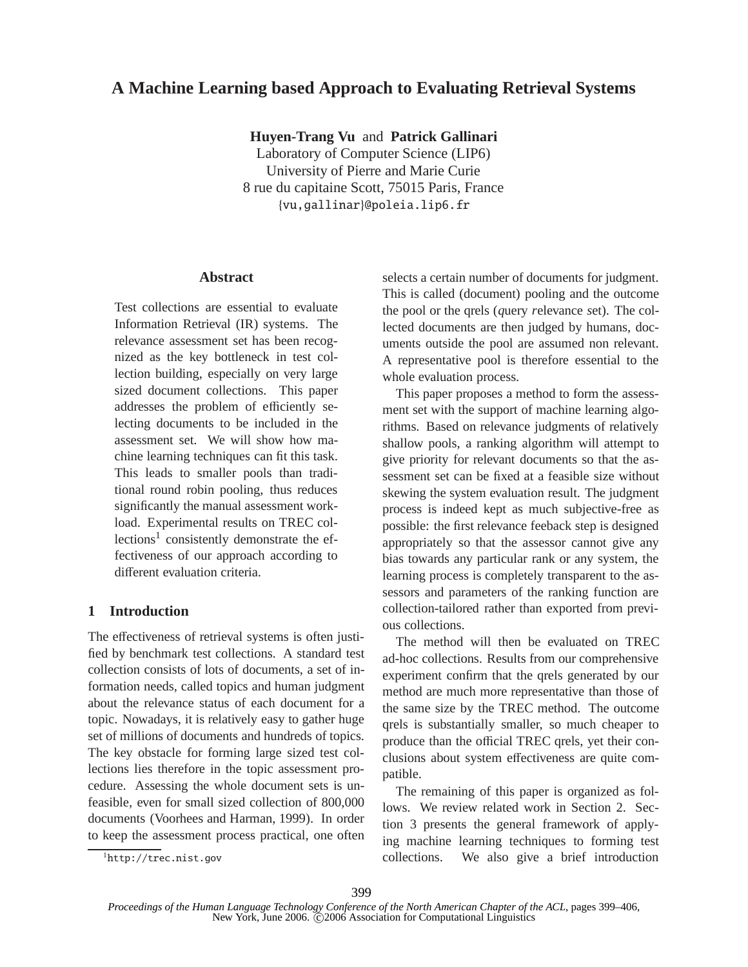# **A Machine Learning based Approach to Evaluating Retrieval Systems**

**Huyen-Trang Vu** and **Patrick Gallinari**

Laboratory of Computer Science (LIP6) University of Pierre and Marie Curie 8 rue du capitaine Scott, 75015 Paris, France {vu,gallinar}@poleia.lip6.fr

# **Abstract**

Test collections are essential to evaluate Information Retrieval (IR) systems. The relevance assessment set has been recognized as the key bottleneck in test collection building, especially on very large sized document collections. This paper addresses the problem of efficiently selecting documents to be included in the assessment set. We will show how machine learning techniques can fit this task. This leads to smaller pools than traditional round robin pooling, thus reduces significantly the manual assessment workload. Experimental results on TREC collections<sup>1</sup> consistently demonstrate the effectiveness of our approach according to different evaluation criteria.

# **1 Introduction**

The effectiveness of retrieval systems is often justified by benchmark test collections. A standard test collection consists of lots of documents, a set of information needs, called topics and human judgment about the relevance status of each document for a topic. Nowadays, it is relatively easy to gather huge set of millions of documents and hundreds of topics. The key obstacle for forming large sized test collections lies therefore in the topic assessment procedure. Assessing the whole document sets is unfeasible, even for small sized collection of 800,000 documents (Voorhees and Harman, 1999). In order to keep the assessment process practical, one often

selects a certain number of documents for judgment. This is called (document) pooling and the outcome the pool or the qrels (*q*uery *r*elevance *s*et). The collected documents are then judged by humans, documents outside the pool are assumed non relevant. A representative pool is therefore essential to the whole evaluation process.

This paper proposes a method to form the assessment set with the support of machine learning algorithms. Based on relevance judgments of relatively shallow pools, a ranking algorithm will attempt to give priority for relevant documents so that the assessment set can be fixed at a feasible size without skewing the system evaluation result. The judgment process is indeed kept as much subjective-free as possible: the first relevance feeback step is designed appropriately so that the assessor cannot give any bias towards any particular rank or any system, the learning process is completely transparent to the assessors and parameters of the ranking function are collection-tailored rather than exported from previous collections.

The method will then be evaluated on TREC ad-hoc collections. Results from our comprehensive experiment confirm that the qrels generated by our method are much more representative than those of the same size by the TREC method. The outcome qrels is substantially smaller, so much cheaper to produce than the official TREC qrels, yet their conclusions about system effectiveness are quite compatible.

The remaining of this paper is organized as follows. We review related work in Section 2. Section 3 presents the general framework of applying machine learning techniques to forming test collections. We also give a brief introduction

<sup>1</sup>http://trec.nist.gov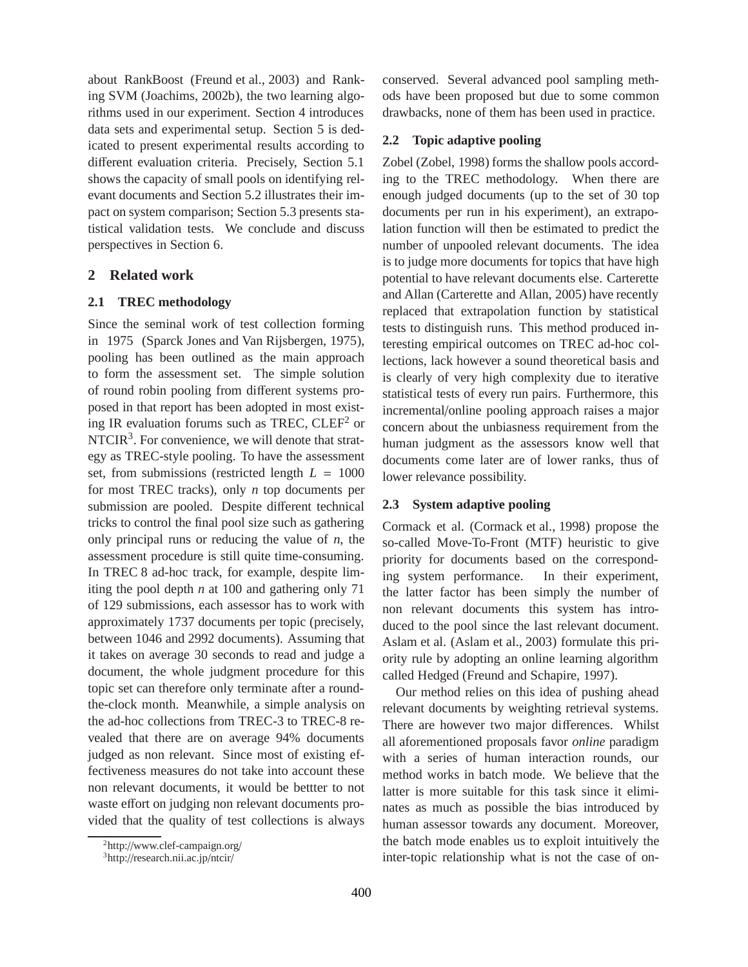about RankBoost (Freund et al., 2003) and Ranking SVM (Joachims, 2002b), the two learning algorithms used in our experiment. Section 4 introduces data sets and experimental setup. Section 5 is dedicated to present experimental results according to different evaluation criteria. Precisely, Section 5.1 shows the capacity of small pools on identifying relevant documents and Section 5.2 illustrates their impact on system comparison; Section 5.3 presents statistical validation tests. We conclude and discuss perspectives in Section 6.

# **2 Related work**

# **2.1 TREC methodology**

Since the seminal work of test collection forming in 1975 (Sparck Jones and Van Rijsbergen, 1975), pooling has been outlined as the main approach to form the assessment set. The simple solution of round robin pooling from different systems proposed in that report has been adopted in most existing IR evaluation forums such as TREC,  $CLEF<sup>2</sup>$  or NTCIR<sup>3</sup>. For convenience, we will denote that strategy as TREC-style pooling. To have the assessment set, from submissions (restricted length *L* = 1000 for most TREC tracks), only *n* top documents per submission are pooled. Despite different technical tricks to control the final pool size such as gathering only principal runs or reducing the value of *n*, the assessment procedure is still quite time-consuming. In TREC 8 ad-hoc track, for example, despite limiting the pool depth *n* at 100 and gathering only 71 of 129 submissions, each assessor has to work with approximately 1737 documents per topic (precisely, between 1046 and 2992 documents). Assuming that it takes on average 30 seconds to read and judge a document, the whole judgment procedure for this topic set can therefore only terminate after a roundthe-clock month. Meanwhile, a simple analysis on the ad-hoc collections from TREC-3 to TREC-8 revealed that there are on average 94% documents judged as non relevant. Since most of existing effectiveness measures do not take into account these non relevant documents, it would be bettter to not waste effort on judging non relevant documents provided that the quality of test collections is always conserved. Several advanced pool sampling methods have been proposed but due to some common drawbacks, none of them has been used in practice.

# **2.2 Topic adaptive pooling**

Zobel (Zobel, 1998) forms the shallow pools according to the TREC methodology. When there are enough judged documents (up to the set of 30 top documents per run in his experiment), an extrapolation function will then be estimated to predict the number of unpooled relevant documents. The idea is to judge more documents for topics that have high potential to have relevant documents else. Carterette and Allan (Carterette and Allan, 2005) have recently replaced that extrapolation function by statistical tests to distinguish runs. This method produced interesting empirical outcomes on TREC ad-hoc collections, lack however a sound theoretical basis and is clearly of very high complexity due to iterative statistical tests of every run pairs. Furthermore, this incremental/online pooling approach raises a major concern about the unbiasness requirement from the human judgment as the assessors know well that documents come later are of lower ranks, thus of lower relevance possibility.

# **2.3 System adaptive pooling**

Cormack et al. (Cormack et al., 1998) propose the so-called Move-To-Front (MTF) heuristic to give priority for documents based on the corresponding system performance. In their experiment, the latter factor has been simply the number of non relevant documents this system has introduced to the pool since the last relevant document. Aslam et al. (Aslam et al., 2003) formulate this priority rule by adopting an online learning algorithm called Hedged (Freund and Schapire, 1997).

Our method relies on this idea of pushing ahead relevant documents by weighting retrieval systems. There are however two major differences. Whilst all aforementioned proposals favor *online* paradigm with a series of human interaction rounds, our method works in batch mode. We believe that the latter is more suitable for this task since it eliminates as much as possible the bias introduced by human assessor towards any document. Moreover, the batch mode enables us to exploit intuitively the inter-topic relationship what is not the case of on-

<sup>&</sup>lt;sup>2</sup>http://www.clef-campaign.org/

<sup>3</sup>http://research.nii.ac.jp/ntcir/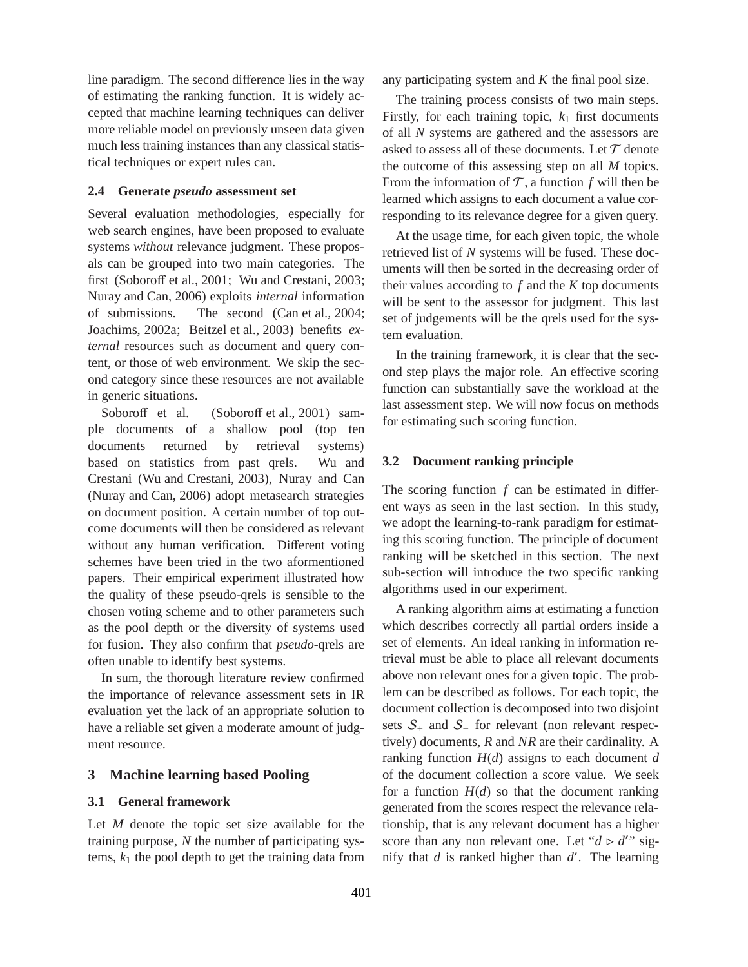line paradigm. The second difference lies in the way of estimating the ranking function. It is widely accepted that machine learning techniques can deliver more reliable model on previously unseen data given much less training instances than any classical statistical techniques or expert rules can.

#### **2.4 Generate** *pseudo* **assessment set**

Several evaluation methodologies, especially for web search engines, have been proposed to evaluate systems *without* relevance judgment. These proposals can be grouped into two main categories. The first (Soboroff et al., 2001; Wu and Crestani, 2003; Nuray and Can, 2006) exploits *internal* information of submissions. The second (Can et al., 2004; Joachims, 2002a; Beitzel et al., 2003) benefits *external* resources such as document and query content, or those of web environment. We skip the second category since these resources are not available in generic situations.

Soboroff et al. (Soboroff et al., 2001) sample documents of a shallow pool (top ten documents returned by retrieval systems) based on statistics from past qrels. Wu and Crestani (Wu and Crestani, 2003), Nuray and Can (Nuray and Can, 2006) adopt metasearch strategies on document position. A certain number of top outcome documents will then be considered as relevant without any human verification. Different voting schemes have been tried in the two aformentioned papers. Their empirical experiment illustrated how the quality of these pseudo-qrels is sensible to the chosen voting scheme and to other parameters such as the pool depth or the diversity of systems used for fusion. They also confirm that *pseudo*-qrels are often unable to identify best systems.

In sum, the thorough literature review confirmed the importance of relevance assessment sets in IR evaluation yet the lack of an appropriate solution to have a reliable set given a moderate amount of judgment resource.

#### **3 Machine learning based Pooling**

### **3.1 General framework**

Let *M* denote the topic set size available for the training purpose, *N* the number of participating systems,  $k_1$  the pool depth to get the training data from

any participating system and *K* the final pool size.

The training process consists of two main steps. Firstly, for each training topic,  $k_1$  first documents of all *N* systems are gathered and the assessors are asked to assess all of these documents. Let  $\mathcal T$  denote the outcome of this assessing step on all *M* topics. From the information of  $\mathcal T$ , a function  $f$  will then be learned which assigns to each document a value corresponding to its relevance degree for a given query.

At the usage time, for each given topic, the whole retrieved list of *N* systems will be fused. These documents will then be sorted in the decreasing order of their values according to  $f$  and the  $K$  top documents will be sent to the assessor for judgment. This last set of judgements will be the qrels used for the system evaluation.

In the training framework, it is clear that the second step plays the major role. An effective scoring function can substantially save the workload at the last assessment step. We will now focus on methods for estimating such scoring function.

#### **3.2 Document ranking principle**

The scoring function  $f$  can be estimated in different ways as seen in the last section. In this study, we adopt the learning-to-rank paradigm for estimating this scoring function. The principle of document ranking will be sketched in this section. The next sub-section will introduce the two specific ranking algorithms used in our experiment.

A ranking algorithm aims at estimating a function which describes correctly all partial orders inside a set of elements. An ideal ranking in information retrieval must be able to place all relevant documents above non relevant ones for a given topic. The problem can be described as follows. For each topic, the document collection is decomposed into two disjoint sets  $S_+$  and  $S_-$  for relevant (non relevant respectively) documents, *R* and *NR* are their cardinality. A ranking function  $H(d)$  assigns to each document *d* of the document collection a score value. We seek for a function  $H(d)$  so that the document ranking generated from the scores respect the relevance relationship, that is any relevant document has a higher score than any non relevant one. Let " $d > d$ " signify that *d* is ranked higher than *d* ′ . The learning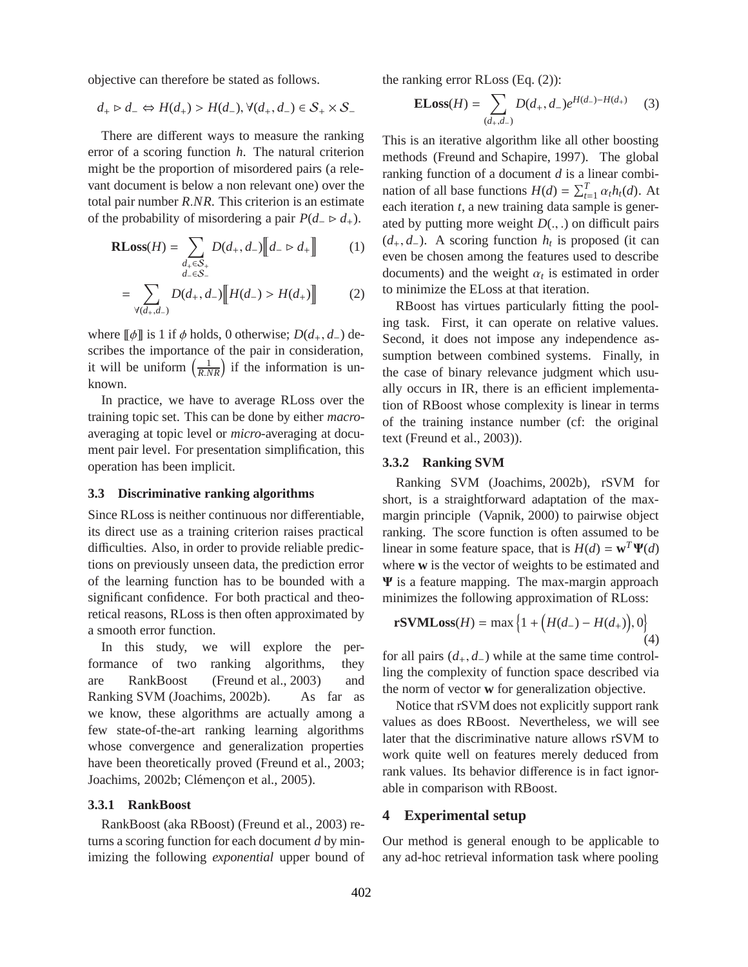objective can therefore be stated as follows.

$$
d_+ \triangleright d_- \Leftrightarrow H(d_+) > H(d_-), \forall (d_+, d_-) \in \mathcal{S}_+ \times \mathcal{S}_-
$$

There are different ways to measure the ranking error of a scoring function *h*. The natural criterion might be the proportion of misordered pairs (a relevant document is below a non relevant one) over the total pair number *R*.*NR*. This criterion is an estimate of the probability of misordering a pair  $P(d_-\triangleright d_+)$ .

$$
\mathbf{RLoss}(H) = \sum_{\substack{d_+ \in \mathcal{S}_+ \\ d_- \in \mathcal{S}_-}} D(d_+, d_-) \big[ d_- \rhd d_+ \big]
$$
(1)

$$
= \sum_{\forall (d_+, d_-)} D(d_+, d_-) \Big[ H(d_-) > H(d_+) \Big] \tag{2}
$$

where  $\llbracket \phi \rrbracket$  is 1 if  $\phi$  holds, 0 otherwise; *D*( $d_+, d_-$ ) describes the importance of the pair in consideration, it will be uniform  $\left(\frac{1}{R.NR}\right)$  if the information is unknown.

In practice, we have to average RLoss over the training topic set. This can be done by either *macro*averaging at topic level or *micro*-averaging at document pair level. For presentation simplification, this operation has been implicit.

#### **3.3 Discriminative ranking algorithms**

Since RLoss is neither continuous nor differentiable, its direct use as a training criterion raises practical difficulties. Also, in order to provide reliable predictions on previously unseen data, the prediction error of the learning function has to be bounded with a significant confidence. For both practical and theoretical reasons, RLoss is then often approximated by a smooth error function.

In this study, we will explore the performance of two ranking algorithms, they are RankBoost (Freund et al., 2003) and Ranking SVM (Joachims, 2002b). As far as we know, these algorithms are actually among a few state-of-the-art ranking learning algorithms whose convergence and generalization properties have been theoretically proved (Freund et al., 2003; Joachims, 2002b; Clémençon et al., 2005).

#### **3.3.1 RankBoost**

RankBoost (aka RBoost) (Freund et al., 2003) returns a scoring function for each document *d* by minimizing the following *exponential* upper bound of the ranking error RLoss (Eq. (2)):

**ELoss**
$$
(H)
$$
 =  $\sum_{(d_+,d_-)} D(d_+,d_-) e^{H(d_-)-H(d_+)}$  (3)

This is an iterative algorithm like all other boosting methods (Freund and Schapire, 1997). The global ranking function of a document *d* is a linear combination of all base functions  $H(d) = \sum_{t=1}^{T} \alpha_t h_t(d)$ . At each iteration *t*, a new training data sample is generated by putting more weight  $D(.,.)$  on difficult pairs (*d*+, *d*−). A scoring function *h<sup>t</sup>* is proposed (it can even be chosen among the features used to describe documents) and the weight  $\alpha_t$  is estimated in order to minimize the ELoss at that iteration.

RBoost has virtues particularly fitting the pooling task. First, it can operate on relative values. Second, it does not impose any independence assumption between combined systems. Finally, in the case of binary relevance judgment which usually occurs in IR, there is an efficient implementation of RBoost whose complexity is linear in terms of the training instance number (cf: the original text (Freund et al., 2003)).

# **3.3.2 Ranking SVM**

Ranking SVM (Joachims, 2002b), rSVM for short, is a straightforward adaptation of the maxmargin principle (Vapnik, 2000) to pairwise object ranking. The score function is often assumed to be linear in some feature space, that is  $H(d) = \mathbf{w}^T \mathbf{\Psi}(d)$ where **w** is the vector of weights to be estimated and Ψ is a feature mapping. The max-margin approach minimizes the following approximation of RLoss:

$$
rSVMLoss(H) = \max\{1 + (H(d_{-}) - H(d_{+})), 0\}
$$
\n(4)

for all pairs  $(d_+, d_-)$  while at the same time controlling the complexity of function space described via the norm of vector **w** for generalization objective.

Notice that rSVM does not explicitly support rank values as does RBoost. Nevertheless, we will see later that the discriminative nature allows rSVM to work quite well on features merely deduced from rank values. Its behavior difference is in fact ignorable in comparison with RBoost.

## **4 Experimental setup**

Our method is general enough to be applicable to any ad-hoc retrieval information task where pooling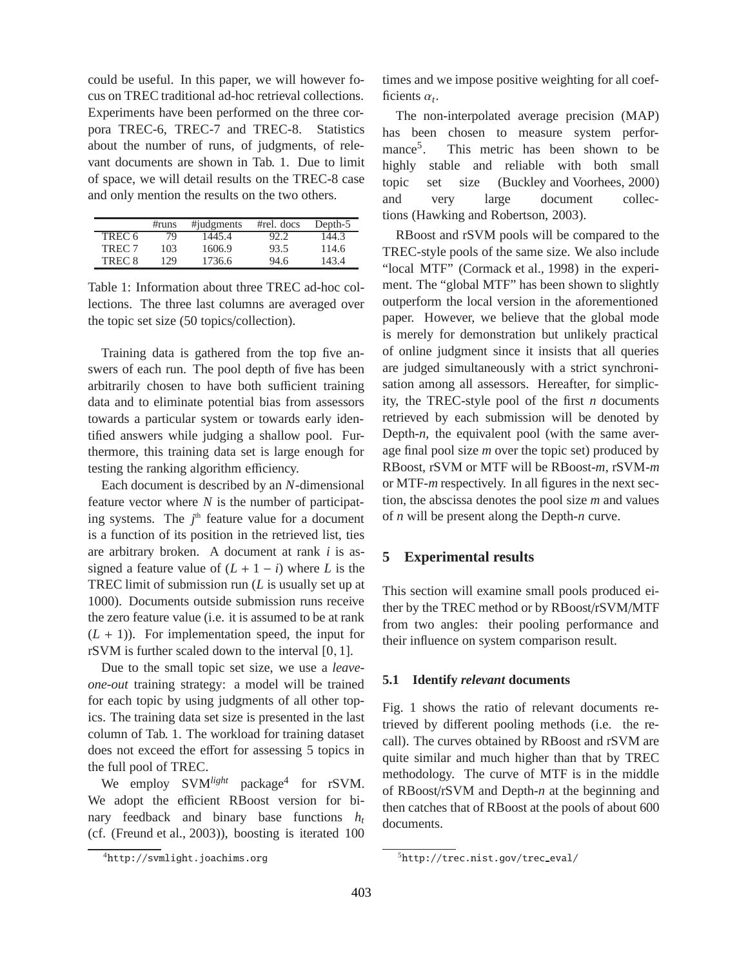could be useful. In this paper, we will however focus on TREC traditional ad-hoc retrieval collections. Experiments have been performed on the three corpora TREC-6, TREC-7 and TREC-8. Statistics about the number of runs, of judgments, of relevant documents are shown in Tab. 1. Due to limit of space, we will detail results on the TREC-8 case and only mention the results on the two others.

|                   | #runs | #judgments | $#rel.$ docs | Depth-5 |
|-------------------|-------|------------|--------------|---------|
| TREC <sub>6</sub> | 79    | 1445.4     | 92.2         | 144.3   |
| TREC <sub>7</sub> | 103   | 1606.9     | 93.5         | 114.6   |
| TREC <sub>8</sub> | 129   | 1736.6     | 94.6         | 143.4   |

Table 1: Information about three TREC ad-hoc collections. The three last columns are averaged over the topic set size (50 topics/collection).

Training data is gathered from the top five answers of each run. The pool depth of five has been arbitrarily chosen to have both sufficient training data and to eliminate potential bias from assessors towards a particular system or towards early identified answers while judging a shallow pool. Furthermore, this training data set is large enough for testing the ranking algorithm efficiency.

Each document is described by an *N*-dimensional feature vector where *N* is the number of participating systems. The  $j<sup>th</sup>$  feature value for a document is a function of its position in the retrieved list, ties are arbitrary broken. A document at rank *i* is assigned a feature value of  $(L + 1 - i)$  where *L* is the TREC limit of submission run (*L* is usually set up at 1000). Documents outside submission runs receive the zero feature value (i.e. it is assumed to be at rank  $(L + 1)$ ). For implementation speed, the input for rSVM is further scaled down to the interval [0, 1].

Due to the small topic set size, we use a *leaveone-out* training strategy: a model will be trained for each topic by using judgments of all other topics. The training data set size is presented in the last column of Tab. 1. The workload for training dataset does not exceed the effort for assessing 5 topics in the full pool of TREC.

We employ SVM<sup>*light*</sup> package<sup>4</sup> for rSVM. We adopt the efficient RBoost version for binary feedback and binary base functions *h<sup>t</sup>* (cf. (Freund et al., 2003)), boosting is iterated 100 times and we impose positive weighting for all coefficients  $\alpha_t$ .

The non-interpolated average precision (MAP) has been chosen to measure system performance<sup>5</sup>. . This metric has been shown to be highly stable and reliable with both small topic set size (Buckley and Voorhees, 2000) and very large document collections (Hawking and Robertson, 2003).

RBoost and rSVM pools will be compared to the TREC-style pools of the same size. We also include "local MTF" (Cormack et al., 1998) in the experiment. The "global MTF" has been shown to slightly outperform the local version in the aforementioned paper. However, we believe that the global mode is merely for demonstration but unlikely practical of online judgment since it insists that all queries are judged simultaneously with a strict synchronisation among all assessors. Hereafter, for simplicity, the TREC-style pool of the first *n* documents retrieved by each submission will be denoted by Depth-*n*, the equivalent pool (with the same average final pool size *m* over the topic set) produced by RBoost, rSVM or MTF will be RBoost-*m*, rSVM-*m* or MTF-*m* respectively. In all figures in the next section, the abscissa denotes the pool size *m* and values of *n* will be present along the Depth-*n* curve.

# **5 Experimental results**

This section will examine small pools produced either by the TREC method or by RBoost/rSVM/MTF from two angles: their pooling performance and their influence on system comparison result.

## **5.1 Identify** *relevant* **documents**

Fig. 1 shows the ratio of relevant documents retrieved by different pooling methods (i.e. the recall). The curves obtained by RBoost and rSVM are quite similar and much higher than that by TREC methodology. The curve of MTF is in the middle of RBoost/rSVM and Depth-*n* at the beginning and then catches that of RBoost at the pools of about 600 documents.

<sup>4</sup>http://svmlight.joachims.org

<sup>5</sup>http://trec.nist.gov/trec eval/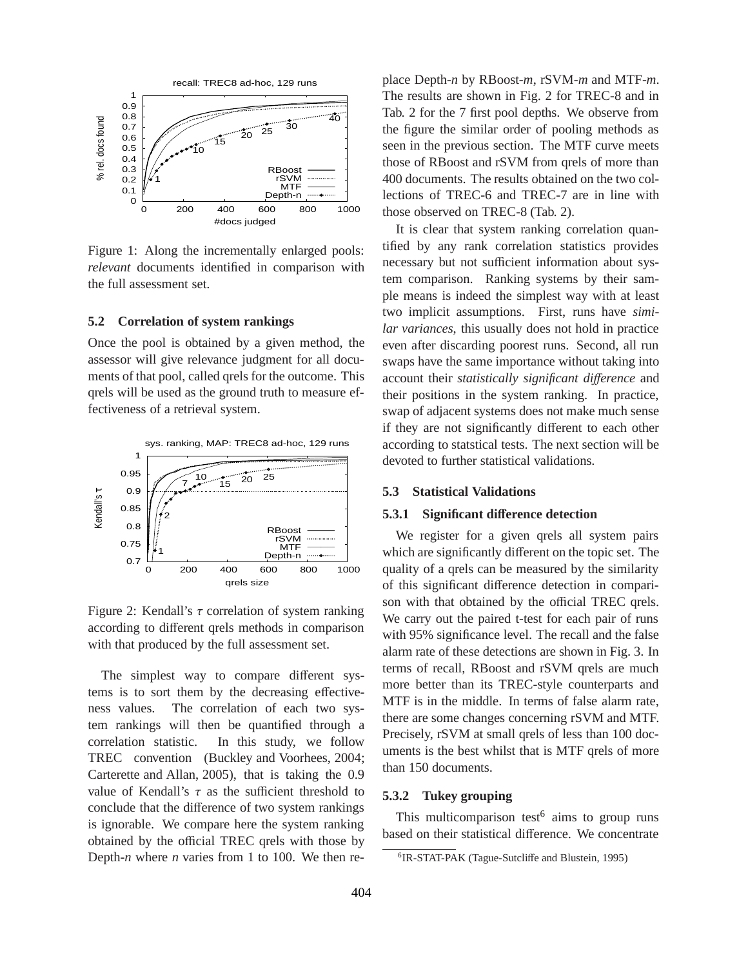

Figure 1: Along the incrementally enlarged pools: *relevant* documents identified in comparison with the full assessment set.

### **5.2 Correlation of system rankings**

Once the pool is obtained by a given method, the assessor will give relevance judgment for all documents of that pool, called qrels for the outcome. This qrels will be used as the ground truth to measure effectiveness of a retrieval system.



Figure 2: Kendall's  $\tau$  correlation of system ranking according to different qrels methods in comparison with that produced by the full assessment set.

The simplest way to compare different systems is to sort them by the decreasing effectiveness values. The correlation of each two system rankings will then be quantified through a correlation statistic. In this study, we follow TREC convention (Buckley and Voorhees, 2004; Carterette and Allan, 2005), that is taking the 0.9 value of Kendall's  $\tau$  as the sufficient threshold to conclude that the difference of two system rankings is ignorable. We compare here the system ranking obtained by the official TREC qrels with those by Depth-*n* where *n* varies from 1 to 100. We then replace Depth-*n* by RBoost-*m*, rSVM-*m* and MTF-*m*. The results are shown in Fig. 2 for TREC-8 and in Tab. 2 for the 7 first pool depths. We observe from the figure the similar order of pooling methods as seen in the previous section. The MTF curve meets those of RBoost and rSVM from qrels of more than 400 documents. The results obtained on the two collections of TREC-6 and TREC-7 are in line with those observed on TREC-8 (Tab. 2).

It is clear that system ranking correlation quantified by any rank correlation statistics provides necessary but not sufficient information about system comparison. Ranking systems by their sample means is indeed the simplest way with at least two implicit assumptions. First, runs have *similar variances*, this usually does not hold in practice even after discarding poorest runs. Second, all run swaps have the same importance without taking into account their *statistically significant di*ff*erence* and their positions in the system ranking. In practice, swap of adjacent systems does not make much sense if they are not significantly different to each other according to statstical tests. The next section will be devoted to further statistical validations.

#### **5.3 Statistical Validations**

### **5.3.1 Significant di**ff**erence detection**

We register for a given qrels all system pairs which are significantly different on the topic set. The quality of a qrels can be measured by the similarity of this significant difference detection in comparison with that obtained by the official TREC qrels. We carry out the paired t-test for each pair of runs with 95% significance level. The recall and the false alarm rate of these detections are shown in Fig. 3. In terms of recall, RBoost and rSVM qrels are much more better than its TREC-style counterparts and MTF is in the middle. In terms of false alarm rate, there are some changes concerning rSVM and MTF. Precisely, rSVM at small qrels of less than 100 documents is the best whilst that is MTF qrels of more than 150 documents.

#### **5.3.2 Tukey grouping**

This multicomparison test<sup>6</sup> aims to group runs based on their statistical difference. We concentrate

<sup>6</sup> IR-STAT-PAK (Tague-Sutcliffe and Blustein, 1995)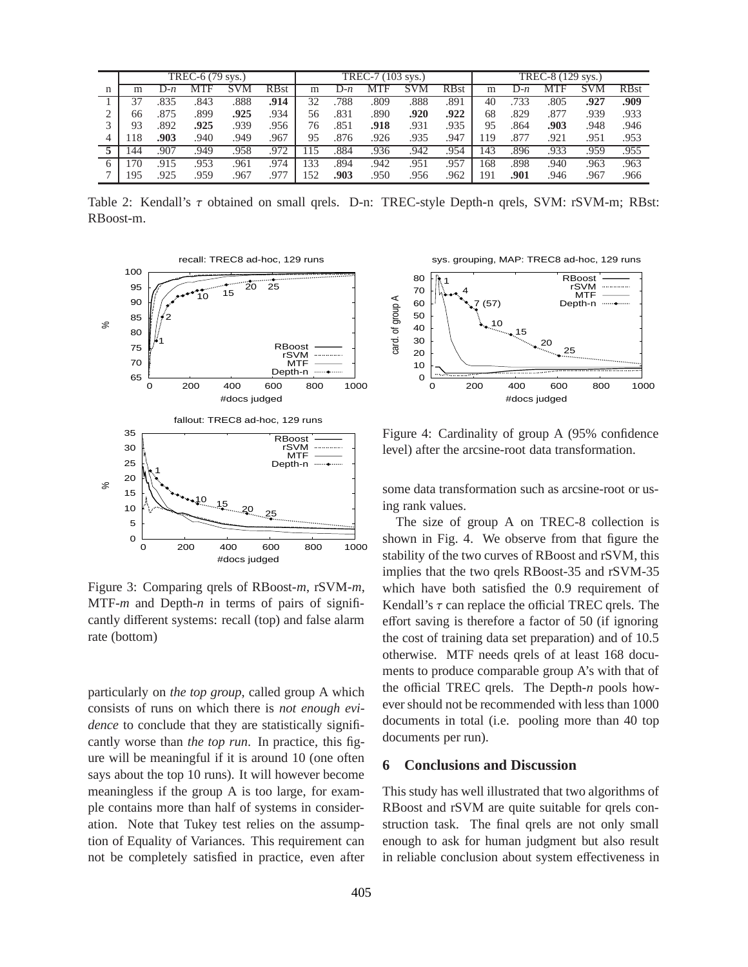|   | TREC-6 (79 sys.) |       |      |            |             | TREC-7 (103 sys.) |       |      |      | TREC-8 (129 sys.) |     |         |      |      |             |
|---|------------------|-------|------|------------|-------------|-------------------|-------|------|------|-------------------|-----|---------|------|------|-------------|
| n | m                | $J-n$ | MTF  | <b>SVM</b> | <b>RBst</b> | m                 | $J-n$ | MTF  | M    | <b>RBst</b>       | m   | $J - p$ | MTF  |      | <b>RBst</b> |
|   |                  | .835  | 843  | .888       | .914        | 32                | 788   | .809 | .888 | .891              | 40  | 733     | .805 | .927 | .909        |
|   | 66               | .875  | .899 | .925       | .934        | 56                | .831  | .890 | .920 | .922              | 68  | .829    | .877 | .939 | .933        |
|   | 93               | .892  | .925 | .939       | .956        | 76                | .851  | .918 | .931 | .935              | 95  | .864    | .903 | .948 | .946        |
|   | 18               | .903  | .940 | .949       | .967        | 95                | .876  | .926 | .935 | .947              | .19 | .877    | .921 | .951 | .953        |
|   |                  | .907  | 949  | .958       | .972        | 15                | .884  | .936 | .942 | .954              | 143 | .896    | .933 | .959 | .955        |
|   | 70               | .915  | .953 | 961        | .974        | 133               | .894  | .942 | .951 | .957              | 168 | .898    | .940 | .963 | .963        |
|   | 195              | .925  | .959 | .967       | .977        | 152               | .903  | .950 | .956 | .962              | 191 | .901    | .946 | 967  | .966        |

Table 2: Kendall's τ obtained on small qrels. D-n: TREC-style Depth-n qrels, SVM: rSVM-m; RBst: RBoost-m.



Figure 3: Comparing qrels of RBoost-*m*, rSVM-*m*, MTF-*m* and Depth-*n* in terms of pairs of significantly different systems: recall (top) and false alarm rate (bottom)

particularly on *the top group*, called group A which consists of runs on which there is *not enough evidence* to conclude that they are statistically significantly worse than *the top run*. In practice, this figure will be meaningful if it is around 10 (one often says about the top 10 runs). It will however become meaningless if the group A is too large, for example contains more than half of systems in consideration. Note that Tukey test relies on the assumption of Equality of Variances. This requirement can not be completely satisfied in practice, even after

sys. grouping, MAP: TREC8 ad-hoc, 129 runs



Figure 4: Cardinality of group A (95% confidence level) after the arcsine-root data transformation.

some data transformation such as arcsine-root or using rank values.

The size of group A on TREC-8 collection is shown in Fig. 4. We observe from that figure the stability of the two curves of RBoost and rSVM, this implies that the two qrels RBoost-35 and rSVM-35 which have both satisfied the 0.9 requirement of Kendall's  $\tau$  can replace the official TREC qrels. The effort saving is therefore a factor of 50 (if ignoring the cost of training data set preparation) and of 10.5 otherwise. MTF needs qrels of at least 168 documents to produce comparable group A's with that of the official TREC qrels. The Depth-*n* pools however should not be recommended with less than 1000 documents in total (i.e. pooling more than 40 top documents per run).

# **6 Conclusions and Discussion**

This study has well illustrated that two algorithms of RBoost and rSVM are quite suitable for qrels construction task. The final qrels are not only small enough to ask for human judgment but also result in reliable conclusion about system effectiveness in